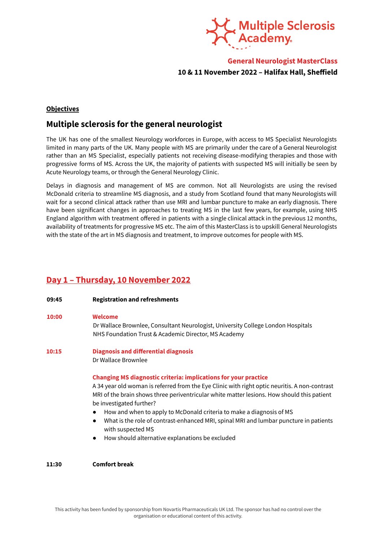

**General Neurologist MasterClass 10 & 11 November 2022 – Halifax Hall, Sheffield**

# **Objectives**

# **Multiple sclerosis for the general neurologist**

The UK has one of the smallest Neurology workforces in Europe, with access to MS Specialist Neurologists limited in many parts of the UK. Many people with MS are primarily under the care of a General Neurologist rather than an MS Specialist, especially patients not receiving disease-modifying therapies and those with progressive forms of MS. Across the UK, the majority of patients with suspected MS will initially be seen by Acute Neurology teams, or through the General Neurology Clinic.

Delays in diagnosis and management of MS are common. Not all Neurologists are using the revised McDonald criteria to streamline MS diagnosis, and a study from Scotland found that many Neurologists will wait for a second clinical attack rather than use MRI and lumbar puncture to make an early diagnosis. There have been significant changes in approaches to treating MS in the last few years, for example, using NHS England algorithm with treatment offered in patients with a single clinical attack in the previous 12 months, availability of treatments for progressive MS etc. The aim of this MasterClass is to upskill General Neurologists with the state of the art in MS diagnosis and treatment, to improve outcomes for people with MS.

# **Day 1 – Thursday, 10 November 2022**

| 09:45 | <b>Registration and refreshments</b>                                                                                                                                                                                                                                                                                                                                                                                                                                                                                                                                              |
|-------|-----------------------------------------------------------------------------------------------------------------------------------------------------------------------------------------------------------------------------------------------------------------------------------------------------------------------------------------------------------------------------------------------------------------------------------------------------------------------------------------------------------------------------------------------------------------------------------|
| 10:00 | <b>Welcome</b><br>Dr Wallace Brownlee, Consultant Neurologist, University College London Hospitals<br>NHS Foundation Trust & Academic Director, MS Academy                                                                                                                                                                                                                                                                                                                                                                                                                        |
| 10:15 | <b>Diagnosis and differential diagnosis</b><br>Dr Wallace Brownlee                                                                                                                                                                                                                                                                                                                                                                                                                                                                                                                |
|       | <b>Changing MS diagnostic criteria: implications for your practice</b><br>A 34 year old woman is referred from the Eye Clinic with right optic neuritis. A non-contrast<br>MRI of the brain shows three periventricular white matter lesions. How should this patient<br>be investigated further?<br>How and when to apply to McDonald criteria to make a diagnosis of MS<br>$\bullet$<br>What is the role of contrast-enhanced MRI, spinal MRI and lumbar puncture in patients<br>$\bullet$<br>with suspected MS<br>How should alternative explanations be excluded<br>$\bullet$ |
| 11:30 | <b>Comfort break</b>                                                                                                                                                                                                                                                                                                                                                                                                                                                                                                                                                              |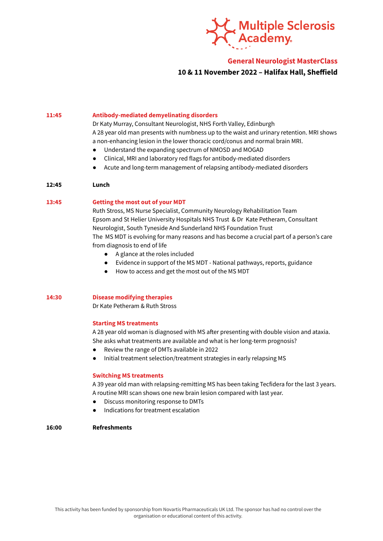

## **General Neurologist MasterClass**

## **10 & 11 November 2022 – Halifax Hall, Sheffield**

#### **11:45 Antibody-mediated demyelinating disorders**

Dr Katy Murray, Consultant Neurologist, NHS Forth Valley, Edinburgh A 28 year old man presents with numbness up to the waist and urinary retention. MRI shows a non-enhancing lesion in the lower thoracic cord/conus and normal brain MRI.

- Understand the expanding spectrum of NMOSD and MOGAD
- Clinical, MRI and laboratory red flags for antibody-mediated disorders
- Acute and long-term management of relapsing antibody-mediated disorders

### **12:45 Lunch**

#### **13:45 Getting the most out of your MDT**

Ruth Stross, MS Nurse Specialist, Community Neurology Rehabilitation Team Epsom and St Helier University Hospitals NHS Trust & Dr Kate Petheram, Consultant Neurologist, South Tyneside And Sunderland NHS Foundation Trust The MS MDT is evolving for many reasons and has become a crucial part of a person's care from diagnosis to end of life

- A glance at the roles included
- Evidence in support of the MS MDT National pathways, reports, guidance
- How to access and get the most out of the MS MDT

### **14:30 Disease modifying therapies**

Dr Kate Petheram & Ruth Stross

### **Starting MS treatments**

A 28 year old woman is diagnosed with MS after presenting with double vision and ataxia. She asks what treatments are available and what is her long-term prognosis?

- Review the range of DMTs available in 2022
- Initial treatment selection/treatment strategies in early relapsing MS

### **Switching MS treatments**

A 39 year old man with relapsing-remitting MS has been taking Tecfidera for the last 3 years. A routine MRI scan shows one new brain lesion compared with last year.

- Discuss monitoring response to DMTs
- Indications for treatment escalation

### **16:00 Refreshments**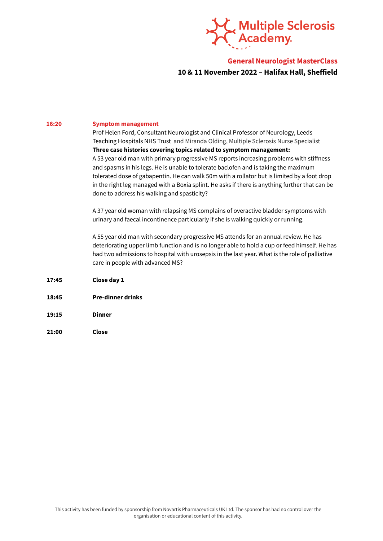

# **General Neurologist MasterClass 10 & 11 November 2022 – Halifax Hall, Sheffield**

### **16:20 Symptom management**

Prof Helen Ford, Consultant Neurologist and Clinical Professor of Neurology, Leeds Teaching Hospitals NHS Trust and Miranda Olding, Multiple Sclerosis Nurse Specialist **Three case histories covering topics related to symptom management:** A 53 year old man with primary progressive MS reports increasing problems with stiffness and spasms in his legs. He is unable to tolerate baclofen and is taking the maximum tolerated dose of gabapentin. He can walk 50m with a rollator but is limited by a foot drop in the right leg managed with a Boxia splint. He asks if there is anything further that can be done to address his walking and spasticity?

A 37 year old woman with relapsing MS complains of overactive bladder symptoms with urinary and faecal incontinence particularly if she is walking quickly or running.

A 55 year old man with secondary progressive MS attends for an annual review. He has deteriorating upper limb function and is no longer able to hold a cup or feed himself. He has had two admissions to hospital with urosepsis in the last year. What is the role of palliative care in people with advanced MS?

- **17:45 Close day 1**
- **18:45 Pre-dinner drinks**
- **19:15 Dinner**
- **21:00 Close**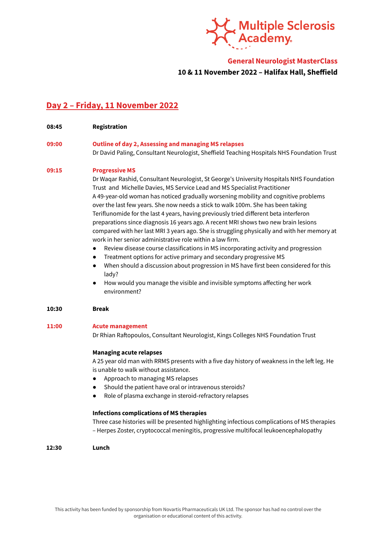

## **General Neurologist MasterClass**

## **10 & 11 November 2022 – Halifax Hall, Sheffield**

# **Day 2 – Friday, 11 November 2022**

**08:45 Registration**

## **09:00 Outline of day 2, Assessing and managing MS relapses** Dr David Paling, Consultant Neurologist, Sheffield Teaching Hospitals NHS Foundation Trust

### **09:15 Progressive MS**

Dr Waqar Rashid, Consultant Neurologist, St George's University Hospitals NHS Foundation Trust and Michelle Davies, MS Service Lead and MS Specialist Practitioner A 49-year-old woman has noticed gradually worsening mobility and cognitive problems over the last few years. She now needs a stick to walk 100m. She has been taking Teriflunomide for the last 4 years, having previously tried different beta interferon preparations since diagnosis 16 years ago. A recent MRI shows two new brain lesions compared with her last MRI 3 years ago. She is struggling physically and with her memory at work in her senior administrative role within a law firm.

- Review disease course classifications in MS incorporating activity and progression
- Treatment options for active primary and secondary progressive MS
- When should a discussion about progression in MS have first been considered for this lady?
- How would you manage the visible and invisible symptoms affecting her work environment?

### **10:30 Break**

### **11:00 Acute management**

Dr Rhian Raftopoulos, Consultant Neurologist, Kings Colleges NHS Foundation Trust

### **Managing acute relapses**

A 25 year old man with RRMS presents with a five day history of weakness in the left leg. He is unable to walk without assistance.

- Approach to managing MS relapses
- Should the patient have oral or intravenous steroids?
- Role of plasma exchange in steroid-refractory relapses

### **Infections complications of MS therapies**

Three case histories will be presented highlighting infectious complications of MS therapies – Herpes Zoster, cryptococcal meningitis, progressive multifocal leukoencephalopathy

### **12:30 Lunch**